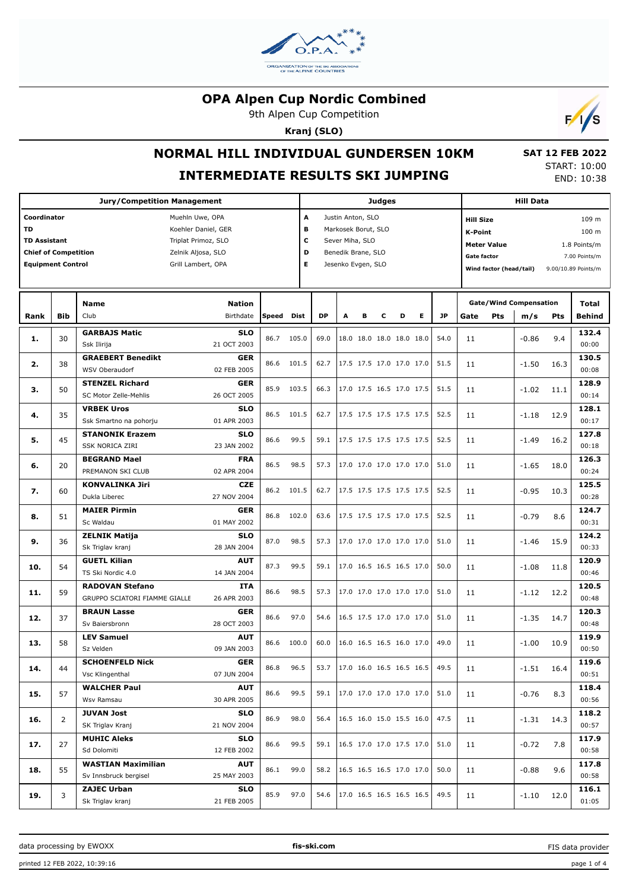

9th Alpen Cup Competition

**Kranj (SLO)**



# **NORMAL HILL INDIVIDUAL GUNDERSEN 10KM**

## **INTERMEDIATE RESULTS SKI JUMPING**

 **SAT 12 FEB 2022** START: 10:00 END: 10:38

|                                                                                                                                                                                                                         | <b>Jury/Competition Management</b> |                                                         |                            |            |                        |           |                                                                                                         |   | <b>Judges</b> |                                      | <b>Hill Data</b>                                                                                                          |      |     |                                      |                                                 |                        |
|-------------------------------------------------------------------------------------------------------------------------------------------------------------------------------------------------------------------------|------------------------------------|---------------------------------------------------------|----------------------------|------------|------------------------|-----------|---------------------------------------------------------------------------------------------------------|---|---------------|--------------------------------------|---------------------------------------------------------------------------------------------------------------------------|------|-----|--------------------------------------|-------------------------------------------------|------------------------|
| Coordinator<br>Muehln Uwe, OPA<br><b>TD</b><br>Koehler Daniel, GER<br><b>TD Assistant</b><br>Triplat Primoz, SLO<br><b>Chief of Competition</b><br>Zelnik Aljosa, SLO<br><b>Equipment Control</b><br>Grill Lambert, OPA |                                    |                                                         |                            |            | A<br>в<br>c<br>D<br>E. |           | Justin Anton, SLO<br>Markosek Borut, SLO<br>Sever Miha, SLO<br>Benedik Brane, SLO<br>Jesenko Evgen, SLO |   |               |                                      | <b>Hill Size</b><br><b>K-Point</b><br><b>Meter Value</b><br>Gate factor<br>Wind factor (head/tail)<br>9.00/10.89 Points/m |      |     |                                      | 109 m<br>100 m<br>1.8 Points/m<br>7.00 Points/m |                        |
| Rank                                                                                                                                                                                                                    | <b>Bib</b>                         | <b>Name</b><br>Club                                     | <b>Nation</b><br>Birthdate | Speed Dist |                        | <b>DP</b> | A                                                                                                       | в | c             | D<br>Е                               | <b>JP</b>                                                                                                                 | Gate | Pts | <b>Gate/Wind Compensation</b><br>m/s | Pts                                             | Total<br><b>Behind</b> |
| 1.                                                                                                                                                                                                                      | 30                                 | <b>GARBAJS Matic</b><br>Ssk Ilirija                     | <b>SLO</b><br>21 OCT 2003  | 86.7       | 105.0                  | 69.0      |                                                                                                         |   |               | 18.0 18.0 18.0 18.0 18.0             | 54.0                                                                                                                      | 11   |     | $-0.86$                              | 9.4                                             | 132.4<br>00:00         |
| 2.                                                                                                                                                                                                                      | 38                                 | <b>GRAEBERT Benedikt</b><br>WSV Oberaudorf              | <b>GER</b><br>02 FEB 2005  | 86.6       | 101.5                  | 62.7      |                                                                                                         |   |               | 17.5 17.5 17.0 17.0 17.0             | 51.5                                                                                                                      | 11   |     | $-1.50$                              | 16.3                                            | 130.5<br>00:08         |
| з.                                                                                                                                                                                                                      | 50                                 | <b>STENZEL Richard</b><br>SC Motor Zelle-Mehlis         | <b>GER</b><br>26 OCT 2005  | 85.9       | 103.5                  | 66.3      |                                                                                                         |   |               | 17.0 17.5 16.5 17.0 17.5             | 51.5                                                                                                                      | 11   |     | $-1.02$                              | 11.1                                            | 128.9<br>00:14         |
| 4.                                                                                                                                                                                                                      | 35                                 | <b>VRBEK Uros</b><br>Ssk Smartno na pohorju             | <b>SLO</b><br>01 APR 2003  | 86.5       | 101.5                  | 62.7      |                                                                                                         |   |               | 17.5 17.5 17.5 17.5 17.5             | 52.5                                                                                                                      | 11   |     | -1.18                                | 12.9                                            | 128.1<br>00:17         |
| 5.                                                                                                                                                                                                                      | 45                                 | <b>STANONIK Erazem</b><br><b>SSK NORICA ZIRI</b>        | <b>SLO</b><br>23 JAN 2002  | 86.6       | 99.5                   | 59.1      |                                                                                                         |   |               | 17.5 17.5 17.5 17.5 17.5             | 52.5                                                                                                                      | 11   |     | $-1.49$                              | 16.2                                            | 127.8<br>00:18         |
| 6.                                                                                                                                                                                                                      | 20                                 | <b>BEGRAND Mael</b><br>PREMANON SKI CLUB                | <b>FRA</b><br>02 APR 2004  | 86.5       | 98.5                   | 57.3      |                                                                                                         |   |               | 17.0 17.0 17.0 17.0 17.0             | 51.0                                                                                                                      | 11   |     | $-1.65$                              | 18.0                                            | 126.3<br>00:24         |
| 7.                                                                                                                                                                                                                      | 60                                 | <b>KONVALINKA Jiri</b><br>Dukla Liberec                 | <b>CZE</b><br>27 NOV 2004  | 86.2 101.5 |                        | 62.7      |                                                                                                         |   |               | 17.5 17.5 17.5 17.5 17.5             | 52.5                                                                                                                      | 11   |     | $-0.95$                              | 10.3                                            | 125.5<br>00:28         |
| 8.                                                                                                                                                                                                                      | 51                                 | <b>MAIER Pirmin</b><br>Sc Waldau                        | <b>GER</b><br>01 MAY 2002  | 86.8       | 102.0                  | 63.6      |                                                                                                         |   |               | 17.5 17.5 17.5 17.0 17.5             | 52.5                                                                                                                      | 11   |     | $-0.79$                              | 8.6                                             | 124.7<br>00:31         |
| 9.                                                                                                                                                                                                                      | 36                                 | <b>ZELNIK Matija</b><br>Sk Triglav kranj                | <b>SLO</b><br>28 JAN 2004  | 87.0       | 98.5                   | 57.3      |                                                                                                         |   |               | 17.0 17.0 17.0 17.0 17.0             | 51.0                                                                                                                      | 11   |     | -1.46                                | 15.9                                            | 124.2<br>00:33         |
| 10.                                                                                                                                                                                                                     | 54                                 | <b>GUETL Kilian</b><br>TS Ski Nordic 4.0                | <b>AUT</b><br>14 JAN 2004  | 87.3       | 99.5                   | 59.1      |                                                                                                         |   |               | 17.0 16.5 16.5 16.5 17.0             | 50.0                                                                                                                      | 11   |     | $-1.08$                              | 11.8                                            | 120.9<br>00:46         |
| 11.                                                                                                                                                                                                                     | 59                                 | <b>RADOVAN Stefano</b><br>GRUPPO SCIATORI FIAMME GIALLE | <b>ITA</b><br>26 APR 2003  | 86.6       | 98.5                   | 57.3      |                                                                                                         |   |               | 17.0 17.0 17.0 17.0 17.0             | 51.0                                                                                                                      | 11   |     | -1.12                                | 12.2                                            | 120.5<br>00:48         |
| 12.                                                                                                                                                                                                                     | 37                                 | <b>BRAUN Lasse</b><br>Sv Baiersbronn                    | <b>GER</b><br>28 OCT 2003  | 86.6       | 97.0                   | 54.6      |                                                                                                         |   |               | 16.5 17.5 17.0 17.0 17.0             | 51.0                                                                                                                      | 11   |     | $-1.35$                              | 14.7                                            | 120.3<br>00:48         |
| 13.                                                                                                                                                                                                                     | 58                                 | <b>LEV Samuel</b><br>Sz Velden                          | <b>AUT</b><br>09 JAN 2003  | 86.6       | 100.0                  | 60.0      |                                                                                                         |   |               | 16.0 16.5 16.5 16.0 17.0             | 49.0                                                                                                                      | 11   |     | $-1.00$                              | 10.9                                            | 119.9<br>00:50         |
| 14.                                                                                                                                                                                                                     | 44                                 | <b>SCHOENFELD Nick</b><br>Vsc Klingenthal               | <b>GER</b><br>07 JUN 2004  | 86.8       | 96.5                   | 53.7      |                                                                                                         |   |               | $ 17.0 \t16.0 \t16.5 \t16.5 \t16.5 $ | 49.5                                                                                                                      | 11   |     | $-1.51$                              | 16.4                                            | 119.6<br>00:51         |
| 15.                                                                                                                                                                                                                     | 57                                 | <b>WALCHER Paul</b><br>Wsv Ramsau                       | <b>AUT</b><br>30 APR 2005  | 86.6       | 99.5                   | 59.1      |                                                                                                         |   |               | 17.0 17.0 17.0 17.0 17.0             | 51.0                                                                                                                      | 11   |     | $-0.76$                              | 8.3                                             | 118.4<br>00:56         |
| 16.                                                                                                                                                                                                                     | 2                                  | <b>JUVAN Jost</b><br>SK Triglav Kranj                   | <b>SLO</b><br>21 NOV 2004  | 86.9       | 98.0                   | 56.4      |                                                                                                         |   |               | 16.5 16.0 15.0 15.5 16.0             | 47.5                                                                                                                      | 11   |     | -1.31                                | 14.3                                            | 118.2<br>00:57         |
| 17.                                                                                                                                                                                                                     | 27                                 | <b>MUHIC Aleks</b><br>Sd Dolomiti                       | <b>SLO</b><br>12 FEB 2002  | 86.6       | 99.5                   | 59.1      |                                                                                                         |   |               | 16.5 17.0 17.0 17.5 17.0             | 51.0                                                                                                                      | 11   |     | $-0.72$                              | 7.8                                             | 117.9<br>00:58         |
| 18.                                                                                                                                                                                                                     | 55                                 | <b>WASTIAN Maximilian</b><br>Sv Innsbruck bergisel      | <b>AUT</b><br>25 MAY 2003  | 86.1       | 99.0                   | 58.2      |                                                                                                         |   |               | 16.5 16.5 16.5 17.0 17.0             | 50.0                                                                                                                      | 11   |     | $-0.88$                              | 9.6                                             | 117.8<br>00:58         |
| 19.                                                                                                                                                                                                                     | 3                                  | <b>ZAJEC Urban</b><br>Sk Triglav kranj                  | <b>SLO</b><br>21 FEB 2005  | 85.9       | 97.0                   | 54.6      |                                                                                                         |   |               | 17.0 16.5 16.5 16.5 16.5             | 49.5                                                                                                                      | 11   |     | $-1.10$                              | 12.0                                            | 116.1<br>01:05         |

FIS data provider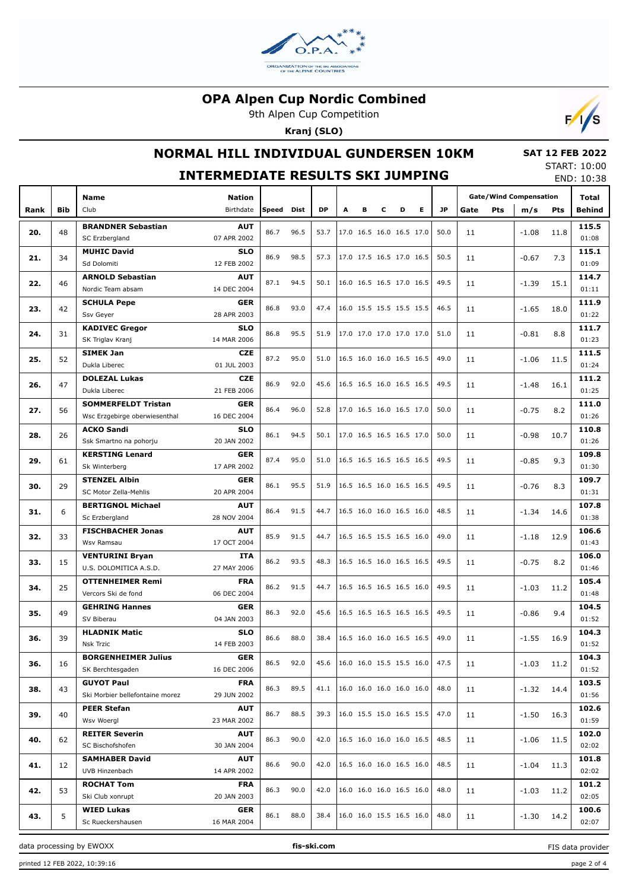

9th Alpen Cup Competition

**Kranj (SLO)**



# **NORMAL HILL INDIVIDUAL GUNDERSEN 10KM**

#### **SAT 12 FEB 2022** START: 10:00

|      |     |                                 | <b>INTERMEDIATE RESULTS SKI JUMPING</b> |              |      |           |                          |                          |   |   |                          |      |      |                               |         |            | END: 10:38 |
|------|-----|---------------------------------|-----------------------------------------|--------------|------|-----------|--------------------------|--------------------------|---|---|--------------------------|------|------|-------------------------------|---------|------------|------------|
|      |     | Name                            | <b>Nation</b>                           |              |      |           |                          |                          |   |   |                          |      |      | <b>Gate/Wind Compensation</b> | Total   |            |            |
| Rank | Bib | Club                            | Birthdate                               | Speed        | Dist | <b>DP</b> | A                        | в                        | с | D | Е                        | JP   | Gate | <b>Pts</b>                    | m/s     | <b>Pts</b> | Behind     |
|      |     | <b>BRANDNER Sebastian</b>       | <b>AUT</b>                              |              |      |           |                          |                          |   |   |                          |      |      |                               |         |            | 115.5      |
| 20.  | 48  | SC Erzbergland                  | 07 APR 2002                             | 86.7         | 96.5 | 53.7      |                          | 17.0 16.5 16.0 16.5 17.0 |   |   |                          | 50.0 | 11   |                               | $-1.08$ | 11.8       | 01:08      |
|      |     | <b>MUHIC David</b>              | <b>SLO</b>                              |              |      |           |                          |                          |   |   |                          |      |      |                               |         |            | 115.1      |
| 21.  | 34  | Sd Dolomiti                     | 12 FEB 2002                             | 86.9         | 98.5 | 57.3      | 17.0 17.5 16.5 17.0 16.5 |                          |   |   |                          | 50.5 | 11   |                               | $-0.67$ | 7.3        | 01:09      |
|      |     | <b>ARNOLD Sebastian</b>         | <b>AUT</b>                              |              |      |           |                          |                          |   |   |                          |      |      |                               |         |            | 114.7      |
| 22.  | 46  | Nordic Team absam               | 14 DEC 2004                             | 87.1<br>94.5 |      | 50.1      |                          | 16.0 16.5 16.5 17.0 16.5 |   |   |                          | 49.5 | 11   |                               | $-1.39$ | 15.1       | 01:11      |
|      |     | <b>SCHULA Pepe</b>              | <b>GER</b>                              |              |      |           |                          |                          |   |   |                          |      |      |                               |         |            | 111.9      |
| 23.  | 42  | Ssv Geyer                       | 28 APR 2003                             | 86.8         | 93.0 | 47.4      |                          | 16.0 15.5 15.5 15.5 15.5 |   |   |                          | 46.5 | 11   |                               | $-1.65$ | 18.0       | 01:22      |
|      |     | <b>KADIVEC Gregor</b>           | <b>SLO</b>                              |              |      |           |                          |                          |   |   |                          |      |      |                               |         |            | 111.7      |
| 24.  | 31  | SK Triglav Kranj                | 14 MAR 2006                             | 86.8         | 95.5 | 51.9      |                          | 17.0 17.0 17.0 17.0 17.0 |   |   |                          | 51.0 | 11   |                               | $-0.81$ | 8.8        | 01:23      |
|      |     | <b>SIMEK Jan</b>                | <b>CZE</b>                              |              |      |           |                          |                          |   |   |                          |      |      |                               |         |            | 111.5      |
| 25.  | 52  | Dukla Liberec                   | 01 JUL 2003                             |              |      | 51.0      |                          | 16.5 16.0 16.0 16.5 16.5 |   |   |                          | 49.0 | 11   |                               | $-1.06$ | 11.5       | 01:24      |
|      |     | <b>DOLEZAL Lukas</b>            | <b>CZE</b>                              |              |      |           |                          |                          |   |   |                          |      |      |                               |         |            | 111.2      |
| 26.  | 47  | Dukla Liberec                   | 21 FEB 2006                             | 86.9         | 92.0 | 45.6      |                          | 16.5 16.5 16.0 16.5 16.5 |   |   |                          | 49.5 | 11   |                               | $-1.48$ | 16.1       | 01:25      |
|      |     | <b>SOMMERFELDT Tristan</b>      | <b>GER</b>                              |              |      |           |                          |                          |   |   |                          |      |      |                               |         |            | 111.0      |
| 27.  | 56  | Wsc Erzgebirge oberwiesenthal   | 16 DEC 2004                             | 86.4         | 96.0 | 52.8      |                          | 17.0 16.5 16.0 16.5 17.0 |   |   |                          | 50.0 | 11   |                               | $-0.75$ | 8.2        | 01:26      |
|      |     | <b>ACKO Sandi</b>               | <b>SLO</b>                              |              |      |           |                          |                          |   |   |                          |      |      |                               |         |            | 110.8      |
| 28.  | 26  | Ssk Smartno na pohorju          | 20 JAN 2002                             | 86.1         | 94.5 | 50.1      |                          | 17.0 16.5 16.5 16.5 17.0 |   |   |                          | 50.0 | 11   |                               | $-0.98$ | 10.7       | 01:26      |
|      |     | <b>KERSTING Lenard</b>          | <b>GER</b>                              |              |      |           |                          |                          |   |   |                          |      |      |                               |         |            | 109.8      |
| 29.  | 61  | Sk Winterberg                   | 17 APR 2002                             | 87.4         | 95.0 | 51.0      |                          | 16.5 16.5 16.5 16.5 16.5 |   |   |                          | 49.5 | 11   |                               | $-0.85$ | 9.3        | 01:30      |
|      |     | <b>STENZEL Albin</b>            | <b>GER</b>                              |              |      |           |                          |                          |   |   |                          |      |      |                               |         |            | 109.7      |
| 30.  | 29  | SC Motor Zella-Mehlis           | 20 APR 2004                             | 86.1         | 95.5 | 51.9      |                          | 16.5 16.5 16.0 16.5 16.5 |   |   |                          | 49.5 | 11   |                               | $-0.76$ | 8.3        | 01:31      |
|      |     | <b>BERTIGNOL Michael</b>        | <b>AUT</b>                              |              |      |           |                          |                          |   |   |                          |      |      |                               |         |            | 107.8      |
| 31.  | 6   | Sc Erzbergland                  | 28 NOV 2004                             | 86.4         | 91.5 | 44.7      |                          | 16.5 16.0 16.0 16.5 16.0 |   |   |                          | 48.5 | 11   |                               | $-1.34$ | 14.6       | 01:38      |
|      |     | <b>FISCHBACHER Jonas</b>        | <b>AUT</b>                              |              |      |           |                          |                          |   |   |                          |      |      |                               |         |            | 106.6      |
| 32.  | 33  | Wsv Ramsau                      | 17 OCT 2004                             | 85.9         | 91.5 | 44.7      | 16.5 16.5 15.5 16.5 16.0 |                          |   |   |                          | 49.0 | 11   |                               | $-1.18$ | 12.9       | 01:43      |
|      |     | <b>VENTURINI Bryan</b>          | <b>ITA</b><br>86.2                      |              | 93.5 | 48.3      |                          | 16.5 16.5 16.0 16.5 16.5 |   |   |                          | 49.5 |      |                               |         |            | 106.0      |
| 33.  | 15  | U.S. DOLOMITICA A.S.D.          | 27 MAY 2006                             |              |      |           |                          |                          |   |   |                          |      | 11   |                               | $-0.75$ | 8.2        | 01:46      |
| 34.  | 25  | <b>OTTENHEIMER Remi</b>         | <b>FRA</b>                              | 86.2         | 91.5 |           |                          |                          |   |   | 16.5 16.5 16.5 16.5 16.0 | 49.5 | 11   | $-1.03$                       |         | 105.4      |            |
|      |     | Vercors Ski de fond             | 06 DEC 2004                             |              |      | 44.7      |                          |                          |   |   |                          |      |      |                               |         | 11.2       | 01:48      |
| 35.  | 49  | <b>GEHRING Hannes</b>           | <b>GER</b>                              | 86.3         | 92.0 | 45.6      |                          | 16.5 16.5 16.5 16.5 16.5 |   |   |                          | 49.5 | 11   |                               | $-0.86$ | 9.4        | 104.5      |
|      |     | SV Biberau                      | 04 JAN 2003                             |              |      |           |                          |                          |   |   |                          |      |      |                               |         |            | 01:52      |
| 36.  | 39  | <b>HLADNIK Matic</b>            | <b>SLO</b>                              | 86.6         | 88.0 | 38.4      | 16.5 16.0 16.0 16.5 16.5 |                          |   |   |                          | 49.0 | 11   |                               | $-1.55$ | 16.9       | 104.3      |
|      |     | Nsk Trzic                       | 14 FEB 2003                             |              |      |           |                          |                          |   |   |                          |      |      |                               |         |            | 01:52      |
| 36.  | 16  | <b>BORGENHEIMER Julius</b>      | <b>GER</b>                              | 86.5         | 92.0 | 45.6      |                          | 16.0 16.0 15.5 15.5 16.0 |   |   |                          | 47.5 | 11   |                               | $-1.03$ | 11.2       | 104.3      |
|      |     | SK Berchtesgaden                | 16 DEC 2006                             |              |      |           |                          |                          |   |   |                          |      |      |                               |         |            | 01:52      |
| 38.  | 43  | <b>GUYOT Paul</b>               | <b>FRA</b>                              | 86.3         | 89.5 | 41.1      |                          | 16.0 16.0 16.0 16.0 16.0 |   |   |                          | 48.0 | 11   |                               | $-1.32$ | 14.4       | 103.5      |
|      |     | Ski Morbier bellefontaine morez | 29 JUN 2002                             |              |      |           |                          |                          |   |   |                          |      |      |                               |         |            | 01:56      |
| 39.  | 40  | <b>PEER Stefan</b>              | <b>AUT</b>                              | 86.7         | 88.5 | 39.3      |                          | 16.0 15.5 15.0 16.5 15.5 |   |   |                          | 47.0 | 11   |                               | $-1.50$ | 16.3       | 102.6      |
|      |     | Wsv Woergl                      | 23 MAR 2002                             |              |      |           |                          |                          |   |   |                          |      |      |                               |         |            | 01:59      |
| 40.  | 62  | <b>REITER Severin</b>           | <b>AUT</b>                              | 86.3         | 90.0 | 42.0      |                          | 16.5 16.0 16.0 16.0 16.5 |   |   |                          | 48.5 |      |                               | -1.06   | 11.5       | 102.0      |
|      |     | SC Bischofshofen                | 30 JAN 2004                             |              |      |           |                          |                          |   |   |                          |      | 11   |                               |         |            | 02:02      |
| 41.  | 12  | <b>SAMHABER David</b>           | <b>AUT</b>                              | 86.6         | 90.0 | 42.0      |                          | 16.5 16.0 16.0 16.5 16.0 |   |   |                          | 48.5 | 11   |                               | -1.04   | 11.3       | 101.8      |
|      |     | UVB Hinzenbach                  | 14 APR 2002                             |              |      |           |                          |                          |   |   |                          |      |      |                               |         |            | 02:02      |
| 42.  | 53  | <b>ROCHAT Tom</b>               | <b>FRA</b>                              | 86.3         | 90.0 | 42.0      |                          | 16.0 16.0 16.0 16.5 16.0 |   |   |                          | 48.0 | 11   | $-1.03$                       | 11.2    | 101.2      |            |
|      |     | Ski Club xonrupt                | 20 JAN 2003                             |              |      |           |                          |                          |   |   |                          |      |      |                               |         |            | 02:05      |
| 43.  | 5   | <b>WIED Lukas</b>               | <b>GER</b>                              | 86.1         | 88.0 | 38.4      | 16.0 16.0 15.5 16.5 16.0 |                          |   |   |                          | 48.0 | 11   |                               | $-1.30$ | 14.2       | 100.6      |
|      |     | Sc Rueckershausen               | 16 MAR 2004                             |              |      |           |                          |                          |   |   |                          |      |      |                               |         |            | 02:07      |

data processing by EWOXX **fis-ski.com**

FIS data provider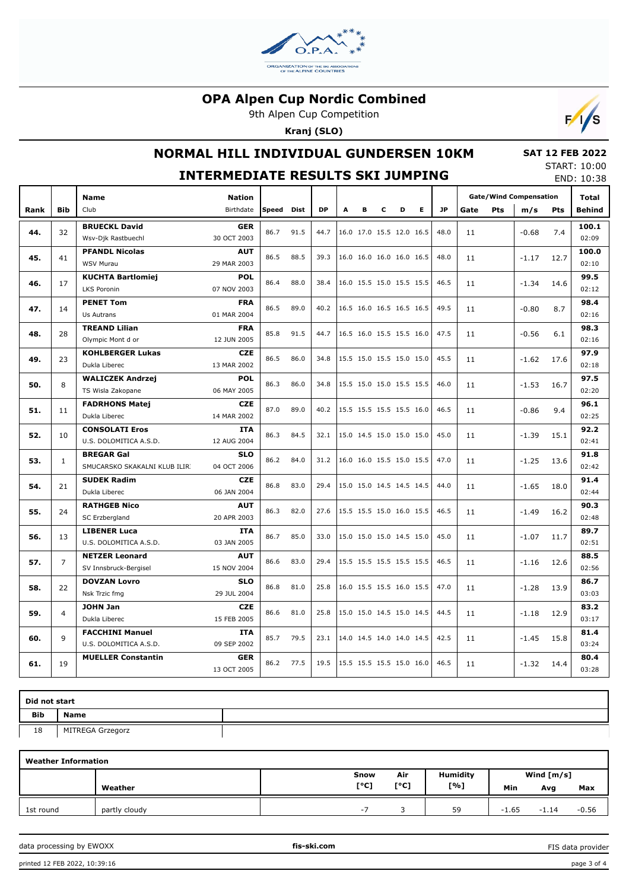

9th Alpen Cup Competition

**Kranj (SLO)**



# **NORMAL HILL INDIVIDUAL GUNDERSEN 10KM**

#### **SAT 12 FEB 2022** START: 10:00

|      | <b>INTERMEDIATE RESULTS SKI JUMPING</b> |                                                    |                           |       |      |           |   |                          |   |   |    |           |      |     | <b>JIANI. 10.00</b><br>END: 10:38 |            |                |
|------|-----------------------------------------|----------------------------------------------------|---------------------------|-------|------|-----------|---|--------------------------|---|---|----|-----------|------|-----|-----------------------------------|------------|----------------|
|      |                                         | <b>Name</b>                                        | <b>Nation</b>             |       |      |           |   |                          |   |   |    |           |      |     | <b>Gate/Wind Compensation</b>     |            | <b>Total</b>   |
| Rank | <b>Bib</b>                              | Club                                               | Birthdate                 | Speed | Dist | <b>DP</b> | A | в                        | c | D | E. | <b>JP</b> | Gate | Pts | m/s                               | <b>Pts</b> | Behind         |
| 44.  | 32                                      | <b>BRUECKL David</b><br>Wsv-Djk Rastbuechl         | <b>GER</b><br>30 OCT 2003 | 86.7  | 91.5 | 44.7      |   | 16.0 17.0 15.5 12.0 16.5 |   |   |    | 48.0      | 11   |     | $-0.68$                           | 7.4        | 100.1<br>02:09 |
| 45.  | 41                                      | <b>PFANDL Nicolas</b><br><b>WSV Murau</b>          | <b>AUT</b><br>29 MAR 2003 | 86.5  | 88.5 | 39.3      |   | 16.0 16.0 16.0 16.0 16.5 |   |   |    | 48.0      | 11   |     | $-1.17$                           | 12.7       | 100.0<br>02:10 |
| 46.  | 17                                      | <b>KUCHTA Bartlomiej</b><br><b>LKS Poronin</b>     | <b>POL</b><br>07 NOV 2003 | 86.4  | 88.0 | 38.4      |   | 16.0 15.5 15.0 15.5 15.5 |   |   |    | 46.5      | 11   |     | $-1.34$                           | 14.6       | 99.5<br>02:12  |
| 47.  | 14                                      | <b>PENET Tom</b><br>Us Autrans                     | <b>FRA</b><br>01 MAR 2004 | 86.5  | 89.0 | 40.2      |   | 16.5 16.0 16.5 16.5 16.5 |   |   |    | 49.5      | 11   |     | $-0.80$                           | 8.7        | 98.4<br>02:16  |
| 48.  | 28                                      | <b>TREAND Lilian</b><br>Olympic Mont d or          | <b>FRA</b><br>12 JUN 2005 | 85.8  | 91.5 | 44.7      |   | 16.5 16.0 15.5 15.5 16.0 |   |   |    | 47.5      | 11   |     | $-0.56$                           | 6.1        | 98.3<br>02:16  |
| 49.  | 23                                      | <b>KOHLBERGER Lukas</b><br>Dukla Liberec           | <b>CZE</b><br>13 MAR 2002 | 86.5  | 86.0 | 34.8      |   | 15.5 15.0 15.5 15.0 15.0 |   |   |    | 45.5      | 11   |     | $-1.62$                           | 17.6       | 97.9<br>02:18  |
| 50.  | 8                                       | <b>WALICZEK Andrzej</b><br>TS Wisla Zakopane       | <b>POL</b><br>06 MAY 2005 | 86.3  | 86.0 | 34.8      |   | 15.5 15.0 15.0 15.5 15.5 |   |   |    | 46.0      | 11   |     | $-1.53$                           | 16.7       | 97.5<br>02:20  |
| 51.  | 11                                      | <b>FADRHONS Matej</b><br>Dukla Liberec             | <b>CZE</b><br>14 MAR 2002 | 87.0  | 89.0 | 40.2      |   | 15.5 15.5 15.5 15.5 16.0 |   |   |    | 46.5      | 11   |     | $-0.86$                           | 9.4        | 96.1<br>02:25  |
| 52.  | 10                                      | <b>CONSOLATI Eros</b><br>U.S. DOLOMITICA A.S.D.    | <b>ITA</b><br>12 AUG 2004 | 86.3  | 84.5 | 32.1      |   | 15.0 14.5 15.0 15.0 15.0 |   |   |    | 45.0      | 11   |     | $-1.39$                           | 15.1       | 92.2<br>02:41  |
| 53.  | $\mathbf{1}$                            | <b>BREGAR Gal</b><br>SMUCARSKO SKAKALNI KLUB ILIRI | <b>SLO</b><br>04 OCT 2006 | 86.2  | 84.0 | 31.2      |   | 16.0 16.0 15.5 15.0 15.5 |   |   |    | 47.0      | 11   |     | $-1.25$                           | 13.6       | 91.8<br>02:42  |
| 54.  | 21                                      | <b>SUDEK Radim</b><br>Dukla Liberec                | <b>CZE</b><br>06 JAN 2004 | 86.8  | 83.0 | 29.4      |   | 15.0 15.0 14.5 14.5 14.5 |   |   |    | 44.0      | 11   |     | $-1.65$                           | 18.0       | 91.4<br>02:44  |
| 55.  | 24                                      | <b>RATHGEB Nico</b><br>SC Erzbergland              | <b>AUT</b><br>20 APR 2003 | 86.3  | 82.0 | 27.6      |   | 15.5 15.5 15.0 16.0 15.5 |   |   |    | 46.5      | 11   |     | $-1.49$                           | 16.2       | 90.3<br>02:48  |
| 56.  | 13                                      | <b>LIBENER Luca</b><br>U.S. DOLOMITICA A.S.D.      | <b>ITA</b><br>03 JAN 2005 | 86.7  | 85.0 | 33.0      |   | 15.0 15.0 15.0 14.5 15.0 |   |   |    | 45.0      | 11   |     | $-1.07$                           | 11.7       | 89.7<br>02:51  |
| 57.  | $\overline{7}$                          | <b>NETZER Leonard</b><br>SV Innsbruck-Bergisel     | <b>AUT</b><br>15 NOV 2004 | 86.6  | 83.0 | 29.4      |   | 15.5 15.5 15.5 15.5 15.5 |   |   |    | 46.5      | 11   |     | $-1.16$                           | 12.6       | 88.5<br>02:56  |
| 58.  | 22                                      | <b>DOVZAN Lovro</b><br>Nsk Trzic fmg               | <b>SLO</b><br>29 JUL 2004 | 86.8  | 81.0 | 25.8      |   | 16.0 15.5 15.5 16.0 15.5 |   |   |    | 47.0      | 11   |     | $-1.28$                           | 13.9       | 86.7<br>03:03  |
| 59.  | 4                                       | <b>JOHN Jan</b><br>Dukla Liberec                   | <b>CZE</b><br>15 FEB 2005 | 86.6  | 81.0 | 25.8      |   | 15.0 15.0 14.5 15.0 14.5 |   |   |    | 44.5      | 11   |     | $-1.18$                           | 12.9       | 83.2<br>03:17  |
| 60.  | 9                                       | <b>FACCHINI Manuel</b><br>U.S. DOLOMITICA A.S.D.   | <b>ITA</b><br>09 SEP 2002 | 85.7  | 79.5 | 23.1      |   | 14.0 14.5 14.0 14.0 14.5 |   |   |    | 42.5      | 11   |     | $-1.45$                           | 15.8       | 81.4<br>03:24  |
| 61.  | 19                                      | <b>MUELLER Constantin</b>                          | <b>GER</b><br>13 OCT 2005 | 86.2  | 77.5 | 19.5      |   | 15.5 15.5 15.5 15.0 16.0 |   |   |    | 46.5      | 11   |     | $-1.32$                           | 14.4       | 80.4<br>03:28  |

| Did not start |                  |  |  |  |  |  |  |  |  |
|---------------|------------------|--|--|--|--|--|--|--|--|
| Bib           | <b>Name</b>      |  |  |  |  |  |  |  |  |
| 18            | MITREGA Grzegorz |  |  |  |  |  |  |  |  |
|               |                  |  |  |  |  |  |  |  |  |

| <b>Weather Information</b> |               |      |      |                 |              |         |         |  |  |  |  |  |  |
|----------------------------|---------------|------|------|-----------------|--------------|---------|---------|--|--|--|--|--|--|
|                            |               | Snow | Air  | <b>Humidity</b> | Wind $[m/s]$ |         |         |  |  |  |  |  |  |
|                            | Weather       | [°C] | [°C] | [%]             | Min          | Avg     | Max     |  |  |  |  |  |  |
| 1st round                  | partly cloudy | - 1  |      | 59              | $-1.65$      | $-1.14$ | $-0.56$ |  |  |  |  |  |  |

data processing by EWOXX **fis-ski.com**

FIS data provider